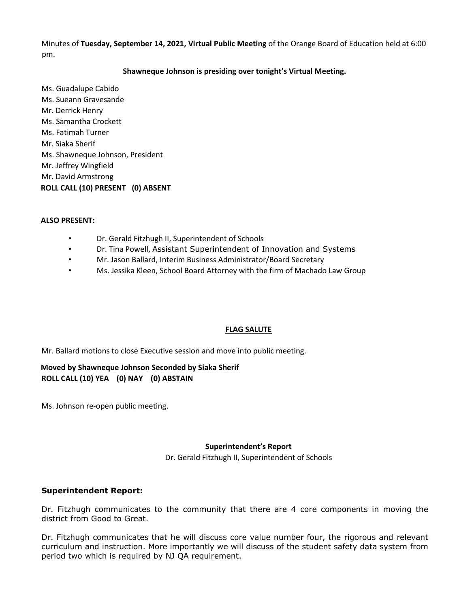Minutes of **Tuesday, September 14, 2021, Virtual Public Meeting** of the Orange Board of Education held at 6:00 pm.

# **Shawneque Johnson is presiding over tonight's Virtual Meeting.**

Ms. Guadalupe Cabido Ms. Sueann Gravesande Mr. Derrick Henry Ms. Samantha Crockett Ms. Fatimah Turner Mr. Siaka Sherif Ms. Shawneque Johnson, President Mr. Jeffrey Wingfield Mr. David Armstrong **ROLL CALL (10) PRESENT (0) ABSENT** 

#### **ALSO PRESENT:**

- Dr. Gerald Fitzhugh II, Superintendent of Schools
- Dr. Tina Powell, Assistant Superintendent of Innovation and Systems
- Mr. Jason Ballard, Interim Business Administrator/Board Secretary
- Ms. Jessika Kleen, School Board Attorney with the firm of Machado Law Group

### **FLAG SALUTE**

Mr. Ballard motions to close Executive session and move into public meeting.

# **Moved by Shawneque Johnson Seconded by Siaka Sherif ROLL CALL (10) YEA (0) NAY (0) ABSTAIN**

Ms. Johnson re-open public meeting.

### **Superintendent's Report**

Dr. Gerald Fitzhugh II, Superintendent of Schools

### **Superintendent Report:**

Dr. Fitzhugh communicates to the community that there are 4 core components in moving the district from Good to Great.

Dr. Fitzhugh communicates that he will discuss core value number four, the rigorous and relevant curriculum and instruction. More importantly we will discuss of the student safety data system from period two which is required by NJ QA requirement.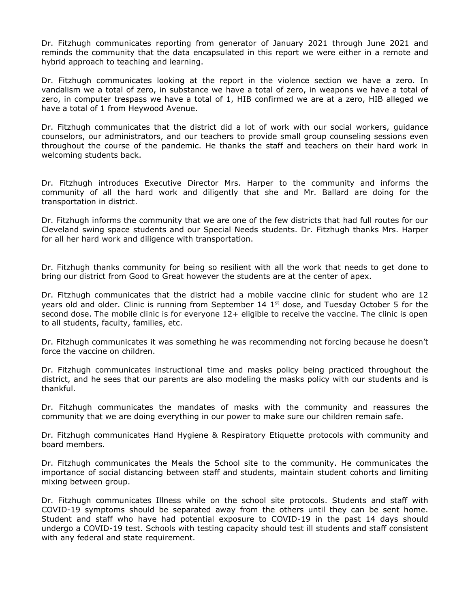Dr. Fitzhugh communicates reporting from generator of January 2021 through June 2021 and reminds the community that the data encapsulated in this report we were either in a remote and hybrid approach to teaching and learning.

Dr. Fitzhugh communicates looking at the report in the violence section we have a zero. In vandalism we a total of zero, in substance we have a total of zero, in weapons we have a total of zero, in computer trespass we have a total of 1, HIB confirmed we are at a zero, HIB alleged we have a total of 1 from Heywood Avenue.

Dr. Fitzhugh communicates that the district did a lot of work with our social workers, guidance counselors, our administrators, and our teachers to provide small group counseling sessions even throughout the course of the pandemic. He thanks the staff and teachers on their hard work in welcoming students back.

Dr. Fitzhugh introduces Executive Director Mrs. Harper to the community and informs the community of all the hard work and diligently that she and Mr. Ballard are doing for the transportation in district.

Dr. Fitzhugh informs the community that we are one of the few districts that had full routes for our Cleveland swing space students and our Special Needs students. Dr. Fitzhugh thanks Mrs. Harper for all her hard work and diligence with transportation.

Dr. Fitzhugh thanks community for being so resilient with all the work that needs to get done to bring our district from Good to Great however the students are at the center of apex.

Dr. Fitzhugh communicates that the district had a mobile vaccine clinic for student who are 12 years old and older. Clinic is running from September 14  $1<sup>st</sup>$  dose, and Tuesday October 5 for the second dose. The mobile clinic is for everyone 12+ eligible to receive the vaccine. The clinic is open to all students, faculty, families, etc.

Dr. Fitzhugh communicates it was something he was recommending not forcing because he doesn't force the vaccine on children.

Dr. Fitzhugh communicates instructional time and masks policy being practiced throughout the district, and he sees that our parents are also modeling the masks policy with our students and is thankful.

Dr. Fitzhugh communicates the mandates of masks with the community and reassures the community that we are doing everything in our power to make sure our children remain safe.

Dr. Fitzhugh communicates Hand Hygiene & Respiratory Etiquette protocols with community and board members.

Dr. Fitzhugh communicates the Meals the School site to the community. He communicates the importance of social distancing between staff and students, maintain student cohorts and limiting mixing between group.

Dr. Fitzhugh communicates Illness while on the school site protocols. Students and staff with COVID-19 symptoms should be separated away from the others until they can be sent home. Student and staff who have had potential exposure to COVID-19 in the past 14 days should undergo a COVID-19 test. Schools with testing capacity should test ill students and staff consistent with any federal and state requirement.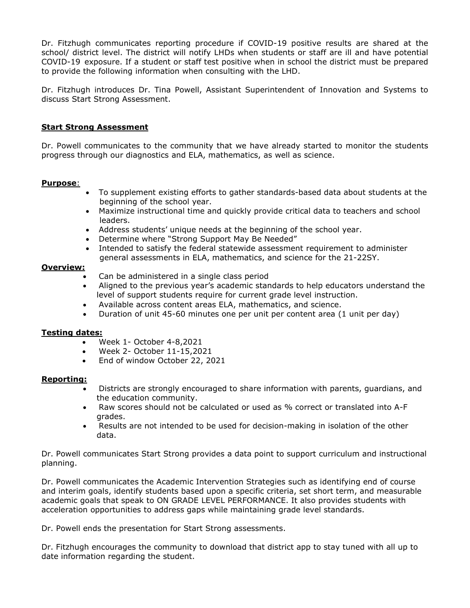Dr. Fitzhugh communicates reporting procedure if COVID-19 positive results are shared at the school/ district level. The district will notify LHDs when students or staff are ill and have potential COVID-19 exposure. If a student or staff test positive when in school the district must be prepared to provide the following information when consulting with the LHD.

Dr. Fitzhugh introduces Dr. Tina Powell, Assistant Superintendent of Innovation and Systems to discuss Start Strong Assessment.

### **Start Strong Assessment**

Dr. Powell communicates to the community that we have already started to monitor the students progress through our diagnostics and ELA, mathematics, as well as science.

### **Purpose**:

- To supplement existing efforts to gather standards-based data about students at the beginning of the school year.
- Maximize instructional time and quickly provide critical data to teachers and school leaders.
- Address students' unique needs at the beginning of the school year.
- Determine where "Strong Support May Be Needed"
- Intended to satisfy the federal statewide assessment requirement to administer general assessments in ELA, mathematics, and science for the 21-22SY.

# **Overview:**

- Can be administered in a single class period
- Aligned to the previous year's academic standards to help educators understand the level of support students require for current grade level instruction.
- Available across content areas ELA, mathematics, and science.
- Duration of unit 45-60 minutes one per unit per content area (1 unit per day)

### **Testing dates:**

- Week 1- October 4-8,2021
- Week 2- October 11-15,2021
- End of window October 22, 2021

### **Reporting:**

- Districts are strongly encouraged to share information with parents, guardians, and the education community.
- Raw scores should not be calculated or used as % correct or translated into A-F grades.
- Results are not intended to be used for decision-making in isolation of the other data.

Dr. Powell communicates Start Strong provides a data point to support curriculum and instructional planning.

Dr. Powell communicates the Academic Intervention Strategies such as identifying end of course and interim goals, identify students based upon a specific criteria, set short term, and measurable academic goals that speak to ON GRADE LEVEL PERFORMANCE. It also provides students with acceleration opportunities to address gaps while maintaining grade level standards.

Dr. Powell ends the presentation for Start Strong assessments.

Dr. Fitzhugh encourages the community to download that district app to stay tuned with all up to date information regarding the student.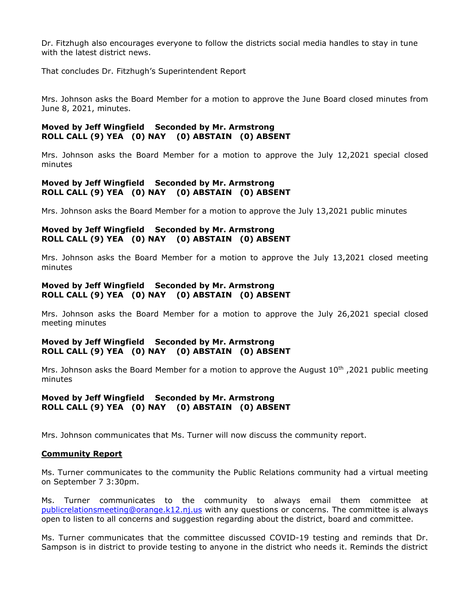Dr. Fitzhugh also encourages everyone to follow the districts social media handles to stay in tune with the latest district news.

That concludes Dr. Fitzhugh's Superintendent Report

Mrs. Johnson asks the Board Member for a motion to approve the June Board closed minutes from June 8, 2021, minutes.

### **Moved by Jeff Wingfield Seconded by Mr. Armstrong ROLL CALL (9) YEA (0) NAY (0) ABSTAIN (0) ABSENT**

Mrs. Johnson asks the Board Member for a motion to approve the July 12,2021 special closed minutes

### **Moved by Jeff Wingfield Seconded by Mr. Armstrong ROLL CALL (9) YEA (0) NAY (0) ABSTAIN (0) ABSENT**

Mrs. Johnson asks the Board Member for a motion to approve the July 13,2021 public minutes

### **Moved by Jeff Wingfield Seconded by Mr. Armstrong ROLL CALL (9) YEA (0) NAY (0) ABSTAIN (0) ABSENT**

Mrs. Johnson asks the Board Member for a motion to approve the July 13,2021 closed meeting minutes

### **Moved by Jeff Wingfield Seconded by Mr. Armstrong ROLL CALL (9) YEA (0) NAY (0) ABSTAIN (0) ABSENT**

Mrs. Johnson asks the Board Member for a motion to approve the July 26,2021 special closed meeting minutes

# **Moved by Jeff Wingfield Seconded by Mr. Armstrong ROLL CALL (9) YEA (0) NAY (0) ABSTAIN (0) ABSENT**

Mrs. Johnson asks the Board Member for a motion to approve the August  $10^{th}$ , 2021 public meeting minutes

### **Moved by Jeff Wingfield Seconded by Mr. Armstrong ROLL CALL (9) YEA (0) NAY (0) ABSTAIN (0) ABSENT**

Mrs. Johnson communicates that Ms. Turner will now discuss the community report.

### **Community Report**

Ms. Turner communicates to the community the Public Relations community had a virtual meeting on September 7 3:30pm.

Ms. Turner communicates to the community to always email them committee at [publicrelationsmeeting@orange.k12.nj.us](mailto:publicrelationsmeeting@orange.k12.nj.us) with any questions or concerns. The committee is always open to listen to all concerns and suggestion regarding about the district, board and committee.

Ms. Turner communicates that the committee discussed COVID-19 testing and reminds that Dr. Sampson is in district to provide testing to anyone in the district who needs it. Reminds the district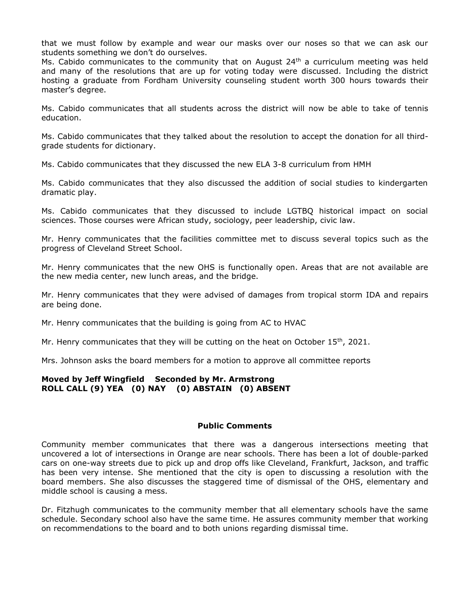that we must follow by example and wear our masks over our noses so that we can ask our students something we don't do ourselves.

Ms. Cabido communicates to the community that on August  $24<sup>th</sup>$  a curriculum meeting was held and many of the resolutions that are up for voting today were discussed. Including the district hosting a graduate from Fordham University counseling student worth 300 hours towards their master's degree.

Ms. Cabido communicates that all students across the district will now be able to take of tennis education.

Ms. Cabido communicates that they talked about the resolution to accept the donation for all thirdgrade students for dictionary.

Ms. Cabido communicates that they discussed the new ELA 3-8 curriculum from HMH

Ms. Cabido communicates that they also discussed the addition of social studies to kindergarten dramatic play.

Ms. Cabido communicates that they discussed to include LGTBQ historical impact on social sciences. Those courses were African study, sociology, peer leadership, civic law.

Mr. Henry communicates that the facilities committee met to discuss several topics such as the progress of Cleveland Street School.

Mr. Henry communicates that the new OHS is functionally open. Areas that are not available are the new media center, new lunch areas, and the bridge.

Mr. Henry communicates that they were advised of damages from tropical storm IDA and repairs are being done.

Mr. Henry communicates that the building is going from AC to HVAC

Mr. Henry communicates that they will be cutting on the heat on October  $15<sup>th</sup>$ , 2021.

Mrs. Johnson asks the board members for a motion to approve all committee reports

### **Moved by Jeff Wingfield Seconded by Mr. Armstrong ROLL CALL (9) YEA (0) NAY (0) ABSTAIN (0) ABSENT**

#### **Public Comments**

Community member communicates that there was a dangerous intersections meeting that uncovered a lot of intersections in Orange are near schools. There has been a lot of double-parked cars on one-way streets due to pick up and drop offs like Cleveland, Frankfurt, Jackson, and traffic has been very intense. She mentioned that the city is open to discussing a resolution with the board members. She also discusses the staggered time of dismissal of the OHS, elementary and middle school is causing a mess.

Dr. Fitzhugh communicates to the community member that all elementary schools have the same schedule. Secondary school also have the same time. He assures community member that working on recommendations to the board and to both unions regarding dismissal time.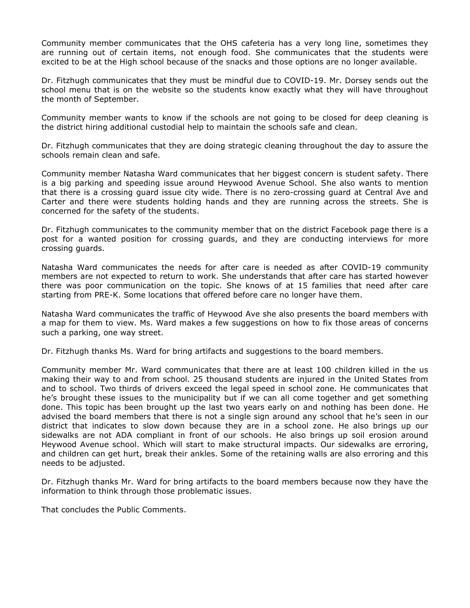Community member communicates that the OHS cafeteria has a very long line, sometimes they are running out of certain items, not enough food. She communicates that the students were excited to be at the High school because of the snacks and those options are no longer available.

Dr. Fitzhugh communicates that they must be mindful due to COVID-19. Mr. Dorsey sends out the school menu that is on the website so the students know exactly what they will have throughout the month of September.

Community member wants to know if the schools are not going to be closed for deep cleaning is the district hiring additional custodial help to maintain the schools safe and clean.

Dr. Fitzhugh communicates that they are doing strategic cleaning throughout the day to assure the schools remain clean and safe.

Community member Natasha Ward communicates that her biggest concern is student safety. There is a big parking and speeding issue around Heywood Avenue School. She also wants to mention that there is a crossing guard issue city wide. There is no zero-crossing guard at Central Ave and Carter and there were students holding hands and they are running across the streets. She is concerned for the safety of the students.

Dr. Fitzhugh communicates to the community member that on the district Facebook page there is a post for a wanted position for crossing guards, and they are conducting interviews for more crossing guards.

Natasha Ward communicates the needs for after care is needed as after COVID-19 community members are not expected to return to work. She understands that after care has started however there was poor communication on the topic. She knows of at 15 families that need after care starting from PRE-K. Some locations that offered before care no longer have them.

Natasha Ward communicates the traffic of Heywood Ave she also presents the board members with a map for them to view. Ms. Ward makes a few suggestions on how to fix those areas of concerns such a parking, one way street.

Dr. Fitzhugh thanks Ms. Ward for bring artifacts and suggestions to the board members.

Community member Mr. Ward communicates that there are at least 100 children killed in the us making their way to and from school. 25 thousand students are injured in the United States from and to school. Two thirds of drivers exceed the legal speed in school zone. He communicates that he's brought these issues to the municipality but if we can all come together and get something done. This topic has been brought up the last two years early on and nothing has been done. He advised the board members that there is not a single sign around any school that he's seen in our district that indicates to slow down because they are in a school zone. He also brings up our sidewalks are not ADA compliant in front of our schools. He also brings up soil erosion around Heywood Avenue school. Which will start to make structural impacts. Our sidewalks are erroring, and children can get hurt, break their ankles. Some of the retaining walls are also erroring and this needs to be adjusted.

Dr. Fitzhugh thanks Mr. Ward for bring artifacts to the board members because now they have the information to think through those problematic issues.

That concludes the Public Comments.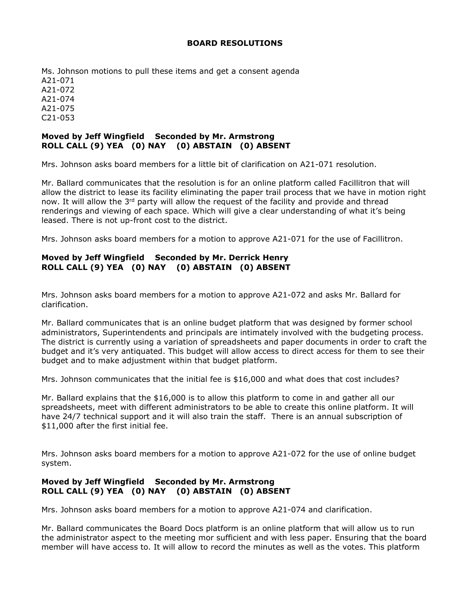#### **BOARD RESOLUTIONS**

Ms. Johnson motions to pull these items and get a consent agenda A21-071 A21-072 A21-074 A21-075 C21-053

### **Moved by Jeff Wingfield Seconded by Mr. Armstrong ROLL CALL (9) YEA (0) NAY (0) ABSTAIN (0) ABSENT**

Mrs. Johnson asks board members for a little bit of clarification on A21-071 resolution.

Mr. Ballard communicates that the resolution is for an online platform called Facillitron that will allow the district to lease its facility eliminating the paper trail process that we have in motion right now. It will allow the  $3<sup>rd</sup>$  party will allow the request of the facility and provide and thread renderings and viewing of each space. Which will give a clear understanding of what it's being leased. There is not up-front cost to the district.

Mrs. Johnson asks board members for a motion to approve A21-071 for the use of Facillitron.

# **Moved by Jeff Wingfield Seconded by Mr. Derrick Henry ROLL CALL (9) YEA (0) NAY (0) ABSTAIN (0) ABSENT**

Mrs. Johnson asks board members for a motion to approve A21-072 and asks Mr. Ballard for clarification.

Mr. Ballard communicates that is an online budget platform that was designed by former school administrators, Superintendents and principals are intimately involved with the budgeting process. The district is currently using a variation of spreadsheets and paper documents in order to craft the budget and it's very antiquated. This budget will allow access to direct access for them to see their budget and to make adjustment within that budget platform.

Mrs. Johnson communicates that the initial fee is \$16,000 and what does that cost includes?

Mr. Ballard explains that the \$16,000 is to allow this platform to come in and gather all our spreadsheets, meet with different administrators to be able to create this online platform. It will have 24/7 technical support and it will also train the staff. There is an annual subscription of \$11,000 after the first initial fee.

Mrs. Johnson asks board members for a motion to approve A21-072 for the use of online budget system.

#### **Moved by Jeff Wingfield Seconded by Mr. Armstrong ROLL CALL (9) YEA (0) NAY (0) ABSTAIN (0) ABSENT**

Mrs. Johnson asks board members for a motion to approve A21-074 and clarification.

Mr. Ballard communicates the Board Docs platform is an online platform that will allow us to run the administrator aspect to the meeting mor sufficient and with less paper. Ensuring that the board member will have access to. It will allow to record the minutes as well as the votes. This platform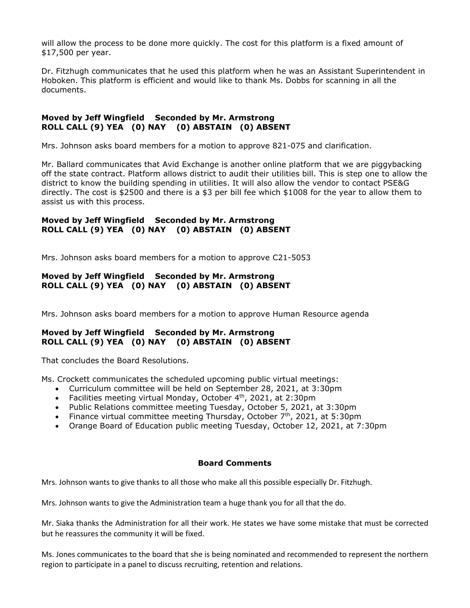will allow the process to be done more quickly. The cost for this platform is a fixed amount of \$17,500 per year.

Dr. Fitzhugh communicates that he used this platform when he was an Assistant Superintendent in Hoboken. This platform is efficient and would like to thank Ms. Dobbs for scanning in all the documents.

# **Moved by Jeff Wingfield Seconded by Mr. Armstrong ROLL CALL (9) YEA (0) NAY (0) ABSTAIN (0) ABSENT**

Mrs. Johnson asks board members for a motion to approve 821-075 and clarification.

Mr. Ballard communicates that Avid Exchange is another online platform that we are piggybacking off the state contract. Platform allows district to audit their utilities bill. This is step one to allow the district to know the building spending in utilities. It will also allow the vendor to contact PSE&G directly. The cost is \$2500 and there is a \$3 per bill fee which \$1008 for the year to allow them to assist us with this process.

### **Moved by Jeff Wingfield Seconded by Mr. Armstrong ROLL CALL (9) YEA (0) NAY (0) ABSTAIN (0) ABSENT**

Mrs. Johnson asks board members for a motion to approve C21-5053

### **Moved by Jeff Wingfield Seconded by Mr. Armstrong ROLL CALL (9) YEA (0) NAY (0) ABSTAIN (0) ABSENT**

Mrs. Johnson asks board members for a motion to approve Human Resource agenda

### **Moved by Jeff Wingfield Seconded by Mr. Armstrong ROLL CALL (9) YEA (0) NAY (0) ABSTAIN (0) ABSENT**

That concludes the Board Resolutions.

Ms. Crockett communicates the scheduled upcoming public virtual meetings:

- Curriculum committee will be held on September 28, 2021, at 3:30pm
- Facilities meeting virtual Monday, October 4<sup>th</sup>, 2021, at 2:30pm
- Public Relations committee meeting Tuesday, October 5, 2021, at 3:30pm
- Finance virtual committee meeting Thursday, October  $7<sup>th</sup>$ , 2021, at 5:30pm
- Orange Board of Education public meeting Tuesday, October 12, 2021, at 7:30pm

### **Board Comments**

Mrs. Johnson wants to give thanks to all those who make all this possible especially Dr. Fitzhugh.

Mrs. Johnson wants to give the Administration team a huge thank you for all that the do.

Mr. Siaka thanks the Administration for all their work. He states we have some mistake that must be corrected but he reassures the community it will be fixed.

Ms. Jones communicates to the board that she is being nominated and recommended to represent the northern region to participate in a panel to discuss recruiting, retention and relations.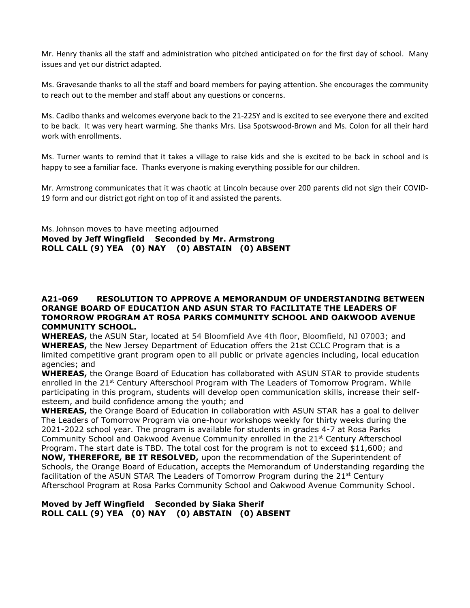Mr. Henry thanks all the staff and administration who pitched anticipated on for the first day of school. Many issues and yet our district adapted.

Ms. Gravesande thanks to all the staff and board members for paying attention. She encourages the community to reach out to the member and staff about any questions or concerns.

Ms. Cadibo thanks and welcomes everyone back to the 21-22SY and is excited to see everyone there and excited to be back. It was very heart warming. She thanks Mrs. Lisa Spotswood-Brown and Ms. Colon for all their hard work with enrollments.

Ms. Turner wants to remind that it takes a village to raise kids and she is excited to be back in school and is happy to see a familiar face. Thanks everyone is making everything possible for our children.

Mr. Armstrong communicates that it was chaotic at Lincoln because over 200 parents did not sign their COVID-19 form and our district got right on top of it and assisted the parents.

# Ms. Johnson moves to have meeting adjourned **Moved by Jeff Wingfield Seconded by Mr. Armstrong ROLL CALL (9) YEA (0) NAY (0) ABSTAIN (0) ABSENT**

### **A21-069 RESOLUTION TO APPROVE A MEMORANDUM OF UNDERSTANDING BETWEEN ORANGE BOARD OF EDUCATION AND ASUN STAR TO FACILITATE THE LEADERS OF TOMORROW PROGRAM AT ROSA PARKS COMMUNITY SCHOOL AND OAKWOOD AVENUE COMMUNITY SCHOOL.**

**WHEREAS,** the ASUN Star, located at 54 Bloomfield Ave 4th floor, Bloomfield, NJ 07003; and **WHEREAS,** the New Jersey Department of Education offers the 21st CCLC Program that is a limited competitive grant program open to all public or private agencies including, local education agencies; and

**WHEREAS,** the Orange Board of Education has collaborated with ASUN STAR to provide students enrolled in the 21<sup>st</sup> Century Afterschool Program with The Leaders of Tomorrow Program. While participating in this program, students will develop open communication skills, increase their selfesteem, and build confidence among the youth; and

**WHEREAS,** the Orange Board of Education in collaboration with ASUN STAR has a goal to deliver The Leaders of Tomorrow Program via one-hour workshops weekly for thirty weeks during the 2021-2022 school year. The program is available for students in grades 4-7 at Rosa Parks Community School and Oakwood Avenue Community enrolled in the 21<sup>st</sup> Century Afterschool Program. The start date is TBD. The total cost for the program is not to exceed \$11,600; and **NOW, THEREFORE, BE IT RESOLVED,** upon the recommendation of the Superintendent of Schools, the Orange Board of Education, accepts the Memorandum of Understanding regarding the facilitation of the ASUN STAR The Leaders of Tomorrow Program during the 21<sup>st</sup> Century Afterschool Program at Rosa Parks Community School and Oakwood Avenue Community School.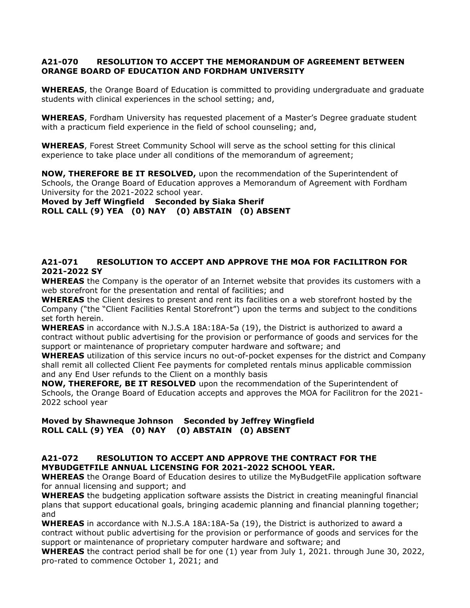# **A21-070 RESOLUTION TO ACCEPT THE MEMORANDUM OF AGREEMENT BETWEEN ORANGE BOARD OF EDUCATION AND FORDHAM UNIVERSITY**

**WHEREAS**, the Orange Board of Education is committed to providing undergraduate and graduate students with clinical experiences in the school setting; and,

**WHEREAS**, Fordham University has requested placement of a Master's Degree graduate student with a practicum field experience in the field of school counseling; and,

**WHEREAS**, Forest Street Community School will serve as the school setting for this clinical experience to take place under all conditions of the memorandum of agreement;

**NOW, THEREFORE BE IT RESOLVED,** upon the recommendation of the Superintendent of Schools, the Orange Board of Education approves a Memorandum of Agreement with Fordham University for the 2021-2022 school year.

**Moved by Jeff Wingfield Seconded by Siaka Sherif ROLL CALL (9) YEA (0) NAY (0) ABSTAIN (0) ABSENT**

# **A21-071 RESOLUTION TO ACCEPT AND APPROVE THE MOA FOR FACILITRON FOR 2021-2022 SY**

**WHEREAS** the Company is the operator of an Internet website that provides its customers with a web storefront for the presentation and rental of facilities; and

**WHEREAS** the Client desires to present and rent its facilities on a web storefront hosted by the Company ("the "Client Facilities Rental Storefront") upon the terms and subject to the conditions set forth herein.

**WHEREAS** in accordance with N.J.S.A 18A:18A-5a (19), the District is authorized to award a contract without public advertising for the provision or performance of goods and services for the support or maintenance of proprietary computer hardware and software; and

**WHEREAS** utilization of this service incurs no out-of-pocket expenses for the district and Company shall remit all collected Client Fee payments for completed rentals minus applicable commission and any End User refunds to the Client on a monthly basis

**NOW, THEREFORE, BE IT RESOLVED** upon the recommendation of the Superintendent of Schools, the Orange Board of Education accepts and approves the MOA for Facilitron for the 2021- 2022 school year

### **Moved by Shawneque Johnson Seconded by Jeffrey Wingfield ROLL CALL (9) YEA (0) NAY (0) ABSTAIN (0) ABSENT**

### **A21-072 RESOLUTION TO ACCEPT AND APPROVE THE CONTRACT FOR THE MYBUDGETFILE ANNUAL LICENSING FOR 2021-2022 SCHOOL YEAR.**

**WHEREAS** the Orange Board of Education desires to utilize the MyBudgetFile application software for annual licensing and support; and

**WHEREAS** the budgeting application software assists the District in creating meaningful financial plans that support educational goals, bringing academic planning and financial planning together; and

**WHEREAS** in accordance with N.J.S.A 18A:18A-5a (19), the District is authorized to award a contract without public advertising for the provision or performance of goods and services for the support or maintenance of proprietary computer hardware and software; and

**WHEREAS** the contract period shall be for one (1) year from July 1, 2021. through June 30, 2022, pro-rated to commence October 1, 2021; and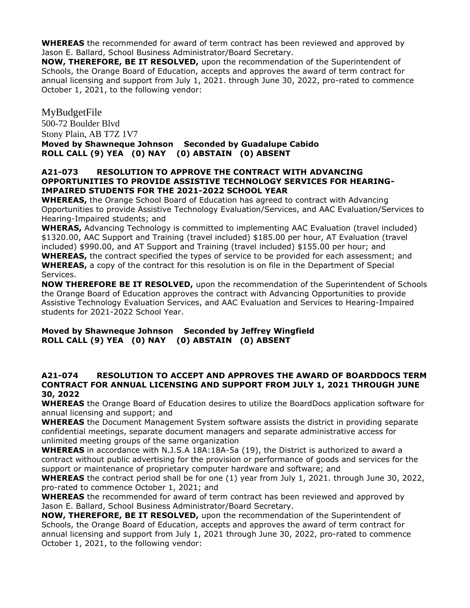**WHEREAS** the recommended for award of term contract has been reviewed and approved by Jason E. Ballard, School Business Administrator/Board Secretary.

**NOW, THEREFORE, BE IT RESOLVED,** upon the recommendation of the Superintendent of Schools, the Orange Board of Education, accepts and approves the award of term contract for annual licensing and support from July 1, 2021. through June 30, 2022, pro-rated to commence October 1, 2021, to the following vendor:

MyBudgetFile 500-72 Boulder Blvd Stony Plain, AB T7Z 1V7 **Moved by Shawneque Johnson Seconded by Guadalupe Cabido ROLL CALL (9) YEA (0) NAY (0) ABSTAIN (0) ABSENT**

### **A21-073 RESOLUTION TO APPROVE THE CONTRACT WITH ADVANCING OPPORTUNITIES TO PROVIDE ASSISTIVE TECHNOLOGY SERVICES FOR HEARING-IMPAIRED STUDENTS FOR THE 2021-2022 SCHOOL YEAR**

**WHEREAS,** the Orange School Board of Education has agreed to contract with Advancing Opportunities to provide Assistive Technology Evaluation/Services, and AAC Evaluation/Services to Hearing-Impaired students; and

**WHERAS,** Advancing Technology is committed to implementing AAC Evaluation (travel included) \$1320.00, AAC Support and Training (travel included) \$185.00 per hour, AT Evaluation (travel included) \$990.00, and AT Support and Training (travel included) \$155.00 per hour; and **WHEREAS,** the contract specified the types of service to be provided for each assessment; and **WHEREAS,** a copy of the contract for this resolution is on file in the Department of Special Services.

**NOW THEREFORE BE IT RESOLVED,** upon the recommendation of the Superintendent of Schools the Orange Board of Education approves the contract with Advancing Opportunities to provide Assistive Technology Evaluation Services, and AAC Evaluation and Services to Hearing-Impaired students for 2021-2022 School Year.

# **Moved by Shawneque Johnson Seconded by Jeffrey Wingfield ROLL CALL (9) YEA (0) NAY (0) ABSTAIN (0) ABSENT**

### **A21-074 RESOLUTION TO ACCEPT AND APPROVES THE AWARD OF BOARDDOCS TERM CONTRACT FOR ANNUAL LICENSING AND SUPPORT FROM JULY 1, 2021 THROUGH JUNE 30, 2022**

**WHEREAS** the Orange Board of Education desires to utilize the BoardDocs application software for annual licensing and support; and

**WHEREAS** the Document Management System software assists the district in providing separate confidential meetings, separate document managers and separate administrative access for unlimited meeting groups of the same organization

**WHEREAS** in accordance with N.J.S.A 18A:18A-5a (19), the District is authorized to award a contract without public advertising for the provision or performance of goods and services for the support or maintenance of proprietary computer hardware and software; and

**WHEREAS** the contract period shall be for one (1) year from July 1, 2021. through June 30, 2022, pro-rated to commence October 1, 2021; and

**WHEREAS** the recommended for award of term contract has been reviewed and approved by Jason E. Ballard, School Business Administrator/Board Secretary.

**NOW, THEREFORE, BE IT RESOLVED,** upon the recommendation of the Superintendent of Schools, the Orange Board of Education, accepts and approves the award of term contract for annual licensing and support from July 1, 2021 through June 30, 2022, pro-rated to commence October 1, 2021, to the following vendor: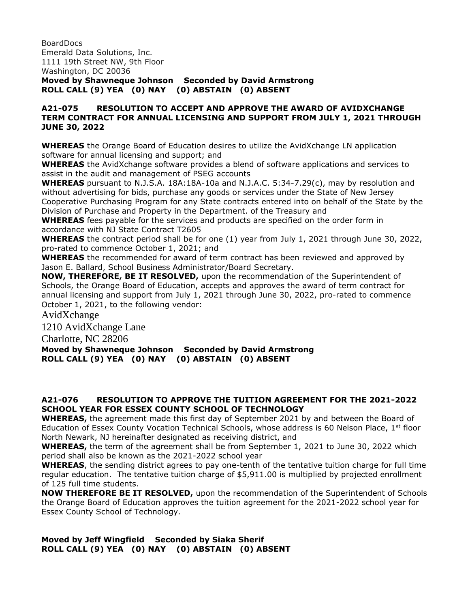BoardDocs Emerald Data Solutions, Inc. 1111 19th Street NW, 9th Floor Washington, DC 20036 **Moved by Shawneque Johnson Seconded by David Armstrong ROLL CALL (9) YEA (0) NAY (0) ABSTAIN (0) ABSENT**

# **A21-075 RESOLUTION TO ACCEPT AND APPROVE THE AWARD OF AVIDXCHANGE TERM CONTRACT FOR ANNUAL LICENSING AND SUPPORT FROM JULY 1, 2021 THROUGH JUNE 30, 2022**

**WHEREAS** the Orange Board of Education desires to utilize the AvidXchange LN application software for annual licensing and support; and

**WHEREAS** the AvidXchange software provides a blend of software applications and services to assist in the audit and management of PSEG accounts

**WHEREAS** pursuant to N.J.S.A. 18A:18A-10a and N.J.A.C. 5:34-7.29(c), may by resolution and without advertising for bids, purchase any goods or services under the State of New Jersey Cooperative Purchasing Program for any State contracts entered into on behalf of the State by the Division of Purchase and Property in the Department. of the Treasury and

**WHEREAS** fees payable for the services and products are specified on the order form in accordance with NJ State Contract T2605

**WHEREAS** the contract period shall be for one (1) year from July 1, 2021 through June 30, 2022, pro-rated to commence October 1, 2021; and

**WHEREAS** the recommended for award of term contract has been reviewed and approved by Jason E. Ballard, School Business Administrator/Board Secretary.

**NOW, THEREFORE, BE IT RESOLVED,** upon the recommendation of the Superintendent of Schools, the Orange Board of Education, accepts and approves the award of term contract for annual licensing and support from July 1, 2021 through June 30, 2022, pro-rated to commence October 1, 2021, to the following vendor:

AvidXchange

1210 AvidXchange Lane

Charlotte, NC 28206

**Moved by Shawneque Johnson Seconded by David Armstrong ROLL CALL (9) YEA (0) NAY (0) ABSTAIN (0) ABSENT**

# **A21-076 RESOLUTION TO APPROVE THE TUITION AGREEMENT FOR THE 2021-2022 SCHOOL YEAR FOR ESSEX COUNTY SCHOOL OF TECHNOLOGY**

**WHEREAS,** the agreement made this first day of September 2021 by and between the Board of Education of Essex County Vocation Technical Schools, whose address is 60 Nelson Place,  $1^{st}$  floor North Newark, NJ hereinafter designated as receiving district, and

**WHEREAS,** the term of the agreement shall be from September 1, 2021 to June 30, 2022 which period shall also be known as the 2021-2022 school year

**WHEREAS**, the sending district agrees to pay one-tenth of the tentative tuition charge for full time regular education. The tentative tuition charge of \$5,911.00 is multiplied by projected enrollment of 125 full time students.

**NOW THEREFORE BE IT RESOLVED,** upon the recommendation of the Superintendent of Schools the Orange Board of Education approves the tuition agreement for the 2021-2022 school year for Essex County School of Technology.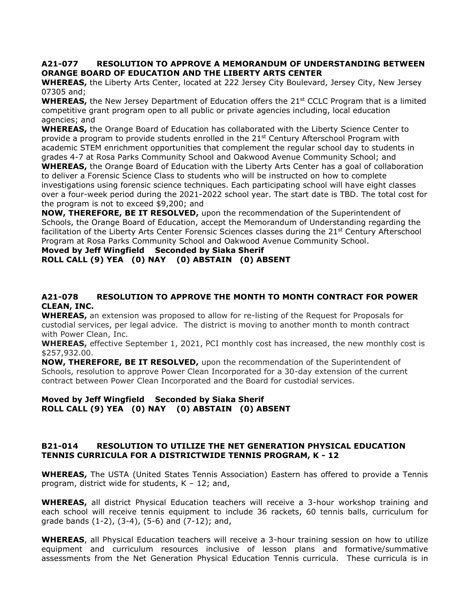### **A21-077 RESOLUTION TO APPROVE A MEMORANDUM OF UNDERSTANDING BETWEEN ORANGE BOARD OF EDUCATION AND THE LIBERTY ARTS CENTER**

**WHEREAS,** the Liberty Arts Center, located at 222 Jersey City Boulevard, Jersey City, New Jersey 07305 and;

**WHEREAS,** the New Jersey Department of Education offers the 21<sup>st</sup> CCLC Program that is a limited competitive grant program open to all public or private agencies including, local education agencies; and

**WHEREAS,** the Orange Board of Education has collaborated with the Liberty Science Center to provide a program to provide students enrolled in the 21<sup>st</sup> Century Afterschool Program with academic STEM enrichment opportunities that complement the regular school day to students in grades 4-7 at Rosa Parks Community School and Oakwood Avenue Community School; and

**WHEREAS,** the Orange Board of Education with the Liberty Arts Center has a goal of collaboration to deliver a Forensic Science Class to students who will be instructed on how to complete investigations using forensic science techniques. Each participating school will have eight classes over a four-week period during the 2021-2022 school year. The start date is TBD. The total cost for the program is not to exceed \$9,200; and

**NOW, THEREFORE, BE IT RESOLVED,** upon the recommendation of the Superintendent of Schools, the Orange Board of Education, accept the Memorandum of Understanding regarding the facilitation of the Liberty Arts Center Forensic Sciences classes during the 21<sup>st</sup> Century Afterschool Program at Rosa Parks Community School and Oakwood Avenue Community School.

#### **Moved by Jeff Wingfield Seconded by Siaka Sherif ROLL CALL (9) YEA (0) NAY (0) ABSTAIN (0) ABSENT**

# **A21-078 RESOLUTION TO APPROVE THE MONTH TO MONTH CONTRACT FOR POWER CLEAN, INC.**

**WHEREAS,** an extension was proposed to allow for re-listing of the Request for Proposals for custodial services, per legal advice. The district is moving to another month to month contract with Power Clean, Inc.

**WHEREAS,** effective September 1, 2021, PCI monthly cost has increased, the new monthly cost is \$257,932.00.

**NOW, THEREFORE, BE IT RESOLVED,** upon the recommendation of the Superintendent of Schools, resolution to approve Power Clean Incorporated for a 30-day extension of the current contract between Power Clean Incorporated and the Board for custodial services.

# **Moved by Jeff Wingfield Seconded by Siaka Sherif ROLL CALL (9) YEA (0) NAY (0) ABSTAIN (0) ABSENT**

### **B21-014 RESOLUTION TO UTILIZE THE NET GENERATION PHYSICAL EDUCATION TENNIS CURRICULA FOR A DISTRICTWIDE TENNIS PROGRAM, K - 12**

**WHEREAS,** The USTA (United States Tennis Association) Eastern has offered to provide a Tennis program, district wide for students, K – 12; and,

**WHEREAS,** all district Physical Education teachers will receive a 3-hour workshop training and each school will receive tennis equipment to include 36 rackets, 60 tennis balls, curriculum for grade bands (1-2), (3-4), (5-6) and (7-12); and,

**WHEREAS**, all Physical Education teachers will receive a 3-hour training session on how to utilize equipment and curriculum resources inclusive of lesson plans and formative/summative assessments from the Net Generation Physical Education Tennis curricula. These curricula is in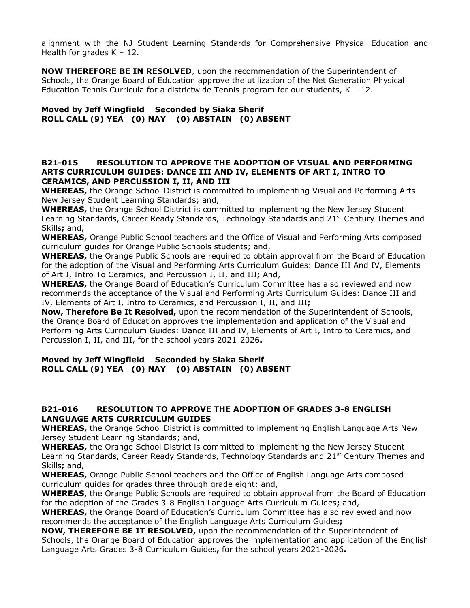alignment with the NJ Student Learning Standards for Comprehensive Physical Education and Health for grades  $K - 12$ .

**NOW THEREFORE BE IN RESOLVED**, upon the recommendation of the Superintendent of Schools, the Orange Board of Education approve the utilization of the Net Generation Physical Education Tennis Curricula for a districtwide Tennis program for our students,  $K - 12$ .

### **Moved by Jeff Wingfield Seconded by Siaka Sherif ROLL CALL (9) YEA (0) NAY (0) ABSTAIN (0) ABSENT**

### **B21-015 RESOLUTION TO APPROVE THE ADOPTION OF VISUAL AND PERFORMING ARTS CURRICULUM GUIDES: DANCE III AND IV, ELEMENTS OF ART I, INTRO TO CERAMICS, AND PERCUSSION I, II, AND III**

**WHEREAS,** the Orange School District is committed to implementing Visual and Performing Arts New Jersey Student Learning Standards; and,

**WHEREAS,** the Orange School District is committed to implementing the New Jersey Student Learning Standards, Career Ready Standards, Technology Standards and 21<sup>st</sup> Century Themes and Skills**;** and,

**WHEREAS,** Orange Public School teachers and the Office of Visual and Performing Arts composed curriculum guides for Orange Public Schools students; and,

**WHEREAS,** the Orange Public Schools are required to obtain approval from the Board of Education for the adoption of the Visual and Performing Arts Curriculum Guides: Dance III And IV, Elements of Art I, Intro To Ceramics, and Percussion I, II, and III**;** And,

**WHEREAS,** the Orange Board of Education's Curriculum Committee has also reviewed and now recommends the acceptance of the Visual and Performing Arts Curriculum Guides: Dance III and IV, Elements of Art I, Intro to Ceramics, and Percussion I, II, and III**;**

**Now, Therefore Be It Resolved,** upon the recommendation of the Superintendent of Schools, the Orange Board of Education approves the implementation and application of the Visual and Performing Arts Curriculum Guides: Dance III and IV, Elements of Art I, Intro to Ceramics, and Percussion I, II, and III, for the school years 2021-2026**.**

**Moved by Jeff Wingfield Seconded by Siaka Sherif ROLL CALL (9) YEA (0) NAY (0) ABSTAIN (0) ABSENT**

# **B21-016 RESOLUTION TO APPROVE THE ADOPTION OF GRADES 3-8 ENGLISH LANGUAGE ARTS CURRICULUM GUIDES**

**WHEREAS,** the Orange School District is committed to implementing English Language Arts New Jersey Student Learning Standards; and,

**WHEREAS,** the Orange School District is committed to implementing the New Jersey Student Learning Standards, Career Ready Standards, Technology Standards and 21<sup>st</sup> Century Themes and Skills**;** and,

**WHEREAS,** Orange Public School teachers and the Office of English Language Arts composed curriculum guides for grades three through grade eight; and,

**WHEREAS,** the Orange Public Schools are required to obtain approval from the Board of Education for the adoption of the Grades 3-8 English Language Arts Curriculum Guides**;** and,

**WHEREAS,** the Orange Board of Education's Curriculum Committee has also reviewed and now recommends the acceptance of the English Language Arts Curriculum Guides**;**

**NOW, THEREFORE BE IT RESOLVED,** upon the recommendation of the Superintendent of Schools, the Orange Board of Education approves the implementation and application of the English Language Arts Grades 3-8 Curriculum Guides**,** for the school years 2021-2026**.**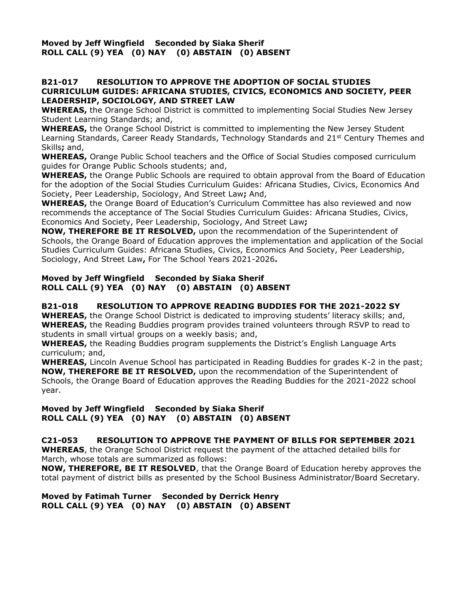**Moved by Jeff Wingfield Seconded by Siaka Sherif ROLL CALL (9) YEA (0) NAY (0) ABSTAIN (0) ABSENT**

#### **B21-017 RESOLUTION TO APPROVE THE ADOPTION OF SOCIAL STUDIES CURRICULUM GUIDES: AFRICANA STUDIES, CIVICS, ECONOMICS AND SOCIETY, PEER LEADERSHIP, SOCIOLOGY, AND STREET LAW**

**WHEREAS,** the Orange School District is committed to implementing Social Studies New Jersey Student Learning Standards; and,

**WHEREAS,** the Orange School District is committed to implementing the New Jersey Student Learning Standards, Career Ready Standards, Technology Standards and 21<sup>st</sup> Century Themes and Skills**;** and,

**WHEREAS,** Orange Public School teachers and the Office of Social Studies composed curriculum guides for Orange Public Schools students; and,

**WHEREAS,** the Orange Public Schools are required to obtain approval from the Board of Education for the adoption of the Social Studies Curriculum Guides: Africana Studies, Civics, Economics And Society, Peer Leadership, Sociology, And Street Law**;** And,

**WHEREAS,** the Orange Board of Education's Curriculum Committee has also reviewed and now recommends the acceptance of The Social Studies Curriculum Guides: Africana Studies, Civics, Economics And Society, Peer Leadership, Sociology, And Street Law**;**

**NOW, THEREFORE BE IT RESOLVED,** upon the recommendation of the Superintendent of Schools, the Orange Board of Education approves the implementation and application of the Social Studies Curriculum Guides: Africana Studies, Civics, Economics And Society, Peer Leadership, Sociology, And Street Law**,** For The School Years 2021-2026**.**

# **Moved by Jeff Wingfield Seconded by Siaka Sherif ROLL CALL (9) YEA (0) NAY (0) ABSTAIN (0) ABSENT**

#### **B21-018 RESOLUTION TO APPROVE READING BUDDIES FOR THE 2021-2022 SY WHEREAS,** the Orange School District is dedicated to improving students' literacy skills; and, **WHEREAS,** the Reading Buddies program provides trained volunteers through RSVP to read to students in small virtual groups on a weekly basis; and,

**WHEREAS,** the Reading Buddies program supplements the District's English Language Arts curriculum; and,

**WHEREAS,** Lincoln Avenue School has participated in Reading Buddies for grades K-2 in the past; **NOW, THEREFORE BE IT RESOLVED,** upon the recommendation of the Superintendent of Schools, the Orange Board of Education approves the Reading Buddies for the 2021-2022 school year.

# **Moved by Jeff Wingfield Seconded by Siaka Sherif ROLL CALL (9) YEA (0) NAY (0) ABSTAIN (0) ABSENT**

# **C21-053 RESOLUTION TO APPROVE THE PAYMENT OF BILLS FOR SEPTEMBER 2021 WHEREAS**, the Orange School District request the payment of the attached detailed bills for

March, whose totals are summarized as follows: **NOW, THEREFORE, BE IT RESOLVED**, that the Orange Board of Education hereby approves the

total payment of district bills as presented by the School Business Administrator/Board Secretary.

# **Moved by Fatimah Turner Seconded by Derrick Henry ROLL CALL (9) YEA (0) NAY (0) ABSTAIN (0) ABSENT**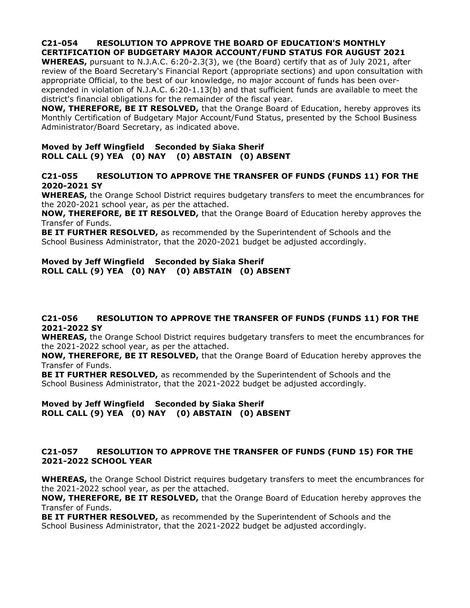# **C21-054 RESOLUTION TO APPROVE THE BOARD OF EDUCATION'S MONTHLY CERTIFICATION OF BUDGETARY MAJOR ACCOUNT/FUND STATUS FOR AUGUST 2021**

**WHEREAS,** pursuant to N.J.A.C. 6:20-2.3(3), we (the Board) certify that as of July 2021, after review of the Board Secretary's Financial Report (appropriate sections) and upon consultation with appropriate Official, to the best of our knowledge, no major account of funds has been overexpended in violation of N.J.A.C. 6:20-1.13(b) and that sufficient funds are available to meet the district's financial obligations for the remainder of the fiscal year.

**NOW, THEREFORE, BE IT RESOLVED,** that the Orange Board of Education, hereby approves its Monthly Certification of Budgetary Major Account/Fund Status, presented by the School Business Administrator/Board Secretary, as indicated above.

### **Moved by Jeff Wingfield Seconded by Siaka Sherif ROLL CALL (9) YEA (0) NAY (0) ABSTAIN (0) ABSENT**

### **C21-055 RESOLUTION TO APPROVE THE TRANSFER OF FUNDS (FUNDS 11) FOR THE 2020-2021 SY**

**WHEREAS,** the Orange School District requires budgetary transfers to meet the encumbrances for the 2020-2021 school year, as per the attached.

**NOW, THEREFORE, BE IT RESOLVED,** that the Orange Board of Education hereby approves the Transfer of Funds.

**BE IT FURTHER RESOLVED,** as recommended by the Superintendent of Schools and the School Business Administrator, that the 2020-2021 budget be adjusted accordingly.

# **Moved by Jeff Wingfield Seconded by Siaka Sherif ROLL CALL (9) YEA (0) NAY (0) ABSTAIN (0) ABSENT**

# **C21-056 RESOLUTION TO APPROVE THE TRANSFER OF FUNDS (FUNDS 11) FOR THE 2021-2022 SY**

**WHEREAS,** the Orange School District requires budgetary transfers to meet the encumbrances for the 2021-2022 school year, as per the attached.

**NOW, THEREFORE, BE IT RESOLVED,** that the Orange Board of Education hereby approves the Transfer of Funds.

**BE IT FURTHER RESOLVED,** as recommended by the Superintendent of Schools and the School Business Administrator, that the 2021-2022 budget be adjusted accordingly.

# **Moved by Jeff Wingfield Seconded by Siaka Sherif ROLL CALL (9) YEA (0) NAY (0) ABSTAIN (0) ABSENT**

# **C21-057 RESOLUTION TO APPROVE THE TRANSFER OF FUNDS (FUND 15) FOR THE 2021-2022 SCHOOL YEAR**

**WHEREAS,** the Orange School District requires budgetary transfers to meet the encumbrances for the 2021-2022 school year, as per the attached.

**NOW, THEREFORE, BE IT RESOLVED,** that the Orange Board of Education hereby approves the Transfer of Funds.

**BE IT FURTHER RESOLVED,** as recommended by the Superintendent of Schools and the School Business Administrator, that the 2021-2022 budget be adjusted accordingly.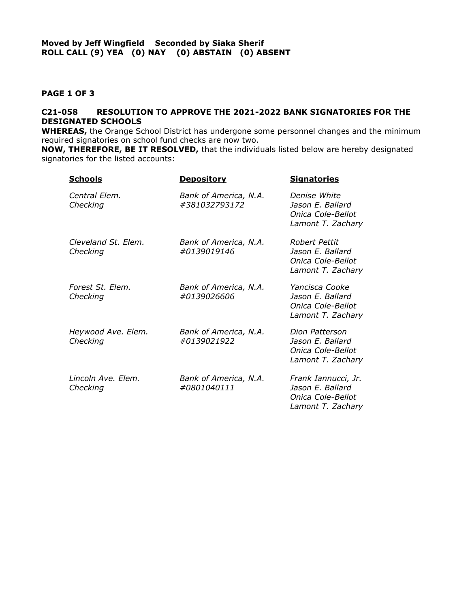### **PAGE 1 OF 3**

### **C21-058 RESOLUTION TO APPROVE THE 2021-2022 BANK SIGNATORIES FOR THE DESIGNATED SCHOOLS**

**WHEREAS,** the Orange School District has undergone some personnel changes and the minimum required signatories on school fund checks are now two.

**NOW, THEREFORE, BE IT RESOLVED,** that the individuals listed below are hereby designated signatories for the listed accounts:

| <b>Schools</b>                  | <b>Depository</b>                      | <b>Signatories</b>                                                                |
|---------------------------------|----------------------------------------|-----------------------------------------------------------------------------------|
| Central Elem.<br>Checking       | Bank of America, N.A.<br>#381032793172 | Denise White<br>Jason E. Ballard<br>Onica Cole-Bellot<br>Lamont T. Zachary        |
| Cleveland St. Elem.<br>Checking | Bank of America, N.A.<br>#0139019146   | Robert Pettit<br>Jason E. Ballard<br>Onica Cole-Bellot<br>Lamont T. Zachary       |
| Forest St. Elem.<br>Checking    | Bank of America, N.A.<br>#0139026606   | Yancisca Cooke<br>Jason E. Ballard<br>Onica Cole-Bellot<br>Lamont T. Zachary      |
| Heywood Ave. Elem.<br>Checking  | Bank of America, N.A.<br>#0139021922   | Dion Patterson<br>Jason E. Ballard<br>Onica Cole-Bellot<br>Lamont T. Zachary      |
| Lincoln Ave. Elem.<br>Checking  | Bank of America, N.A.<br>#0801040111   | Frank Iannucci, Jr.<br>Jason E. Ballard<br>Onica Cole-Bellot<br>Lamont T. Zachary |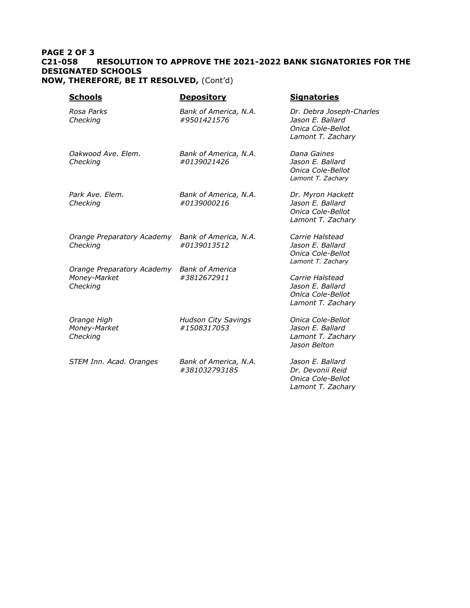### **PAGE 2 OF 3 C21-058 RESOLUTION TO APPROVE THE 2021-2022 BANK SIGNATORIES FOR THE DESIGNATED SCHOOLS NOW, THEREFORE, BE IT RESOLVED,** (Cont'd)

| <b>Schools</b>                                         | <b>Depository</b>                         | <b>Signatories</b>                                                                     |
|--------------------------------------------------------|-------------------------------------------|----------------------------------------------------------------------------------------|
| Rosa Parks<br>Checking                                 | Bank of America, N.A.<br>#9501421576      | Dr. Debra Joseph-Charles<br>Jason E. Ballard<br>Onica Cole-Bellot<br>Lamont T. Zachary |
| Oakwood Ave. Elem.<br>Checking                         | Bank of America, N.A.<br>#0139021426      | Dana Gaines<br>Jason E. Ballard<br>Onica Cole-Bellot<br>Lamont T. Zachary              |
| Park Ave. Elem.<br>Checking                            | Bank of America, N.A.<br>#0139000216      | Dr. Myron Hackett<br>Jason E. Ballard<br>Onica Cole-Bellot<br>Lamont T. Zachary        |
| Orange Preparatory Academy<br>Checking                 | Bank of America, N.A.<br>#0139013512      | Carrie Halstead<br>Jason E. Ballard<br>Onica Cole-Bellot<br>Lamont T. Zachary          |
| Orange Preparatory Academy<br>Money-Market<br>Checking | <b>Bank of America</b><br>#3812672911     | Carrie Halstead<br>Jason E. Ballard<br>Onica Cole-Bellot<br>Lamont T. Zachary          |
| Orange High<br>Money-Market<br>Checking                | <b>Hudson City Savings</b><br>#1508317053 | Onica Cole-Bellot<br>Jason E. Ballard<br>Lamont T. Zachary<br>Jason Belton             |
| STEM Inn. Acad. Oranges                                | Bank of America, N.A.<br>#381032793185    | Jason E. Ballard<br>Dr. Devonii Reid<br>Onica Cole-Bellot<br>Lamont T. Zachary         |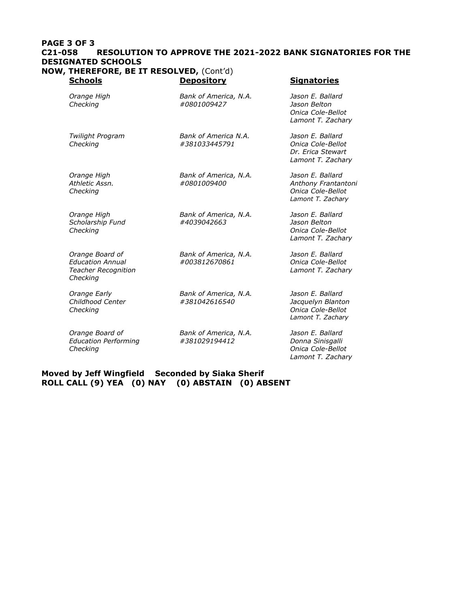### **PAGE 3 OF 3 C21-058 RESOLUTION TO APPROVE THE 2021-2022 BANK SIGNATORIES FOR THE DESIGNATED SCHOOLS NOW, THEREFORE, BE IT RESOLVED,** (Cont'd)

| <b>Schools</b>                                                                       | <b>Depository</b>                      | <b>Signatories</b>                                                                |
|--------------------------------------------------------------------------------------|----------------------------------------|-----------------------------------------------------------------------------------|
| Orange High<br>Checking                                                              | Bank of America, N.A.<br>#0801009427   | Jason E. Ballard<br>Jason Belton<br>Onica Cole-Bellot<br>Lamont T. Zachary        |
| Twilight Program<br>Checking                                                         | Bank of America N.A.<br>#381033445791  | Jason E. Ballard<br>Onica Cole-Bellot<br>Dr. Erica Stewart<br>Lamont T. Zachary   |
| Orange High<br>Athletic Assn.<br>Checking                                            | Bank of America, N.A.<br>#0801009400   | Jason E. Ballard<br>Anthony Frantantoni<br>Onica Cole-Bellot<br>Lamont T. Zachary |
| Orange High<br>Scholarship Fund<br>Checking                                          | Bank of America, N.A.<br>#4039042663   | Jason E. Ballard<br>Jason Belton<br>Onica Cole-Bellot<br>Lamont T. Zachary        |
| Orange Board of<br><b>Education Annual</b><br><b>Teacher Recognition</b><br>Checking | Bank of America, N.A.<br>#003812670861 | Jason E. Ballard<br>Onica Cole-Bellot<br>Lamont T. Zachary                        |
| Orange Early<br>Childhood Center<br>Checking                                         | Bank of America, N.A.<br>#381042616540 | Jason E. Ballard<br>Jacquelyn Blanton<br>Onica Cole-Bellot<br>Lamont T. Zachary   |
| Orange Board of<br><b>Education Performing</b><br>Checking                           | Bank of America, N.A.<br>#381029194412 | Jason E. Ballard<br>Donna Sinisgalli<br>Onica Cole-Bellot<br>Lamont T. Zachary    |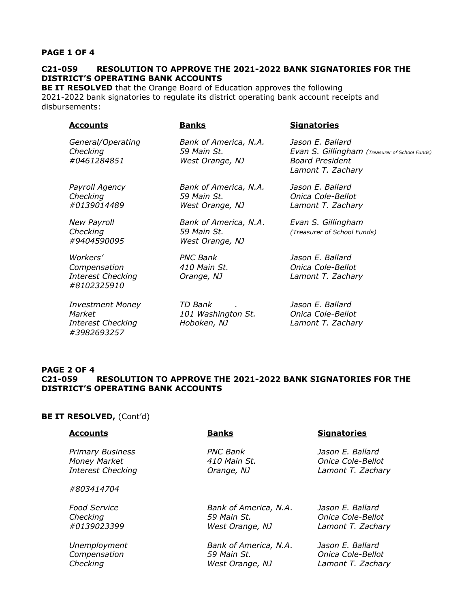#### **PAGE 1 OF 4**

# **C21-059 RESOLUTION TO APPROVE THE 2021-2022 BANK SIGNATORIES FOR THE DISTRICT'S OPERATING BANK ACCOUNTS**

**BE IT RESOLVED** that the Orange Board of Education approves the following 2021-2022 bank signatories to regulate its district operating bank account receipts and disbursements:

| <b>Accounts</b>                                                     | <b>Banks</b>                                            | <b>Signatories</b>                                                                                                |
|---------------------------------------------------------------------|---------------------------------------------------------|-------------------------------------------------------------------------------------------------------------------|
| General/Operating<br>Checking<br>#0461284851                        | Bank of America, N.A.<br>59 Main St.<br>West Orange, NJ | Jason E. Ballard<br>Evan S. Gillingham (Treasurer of School Funds)<br><b>Board President</b><br>Lamont T. Zachary |
| Payroll Agency<br>Checking<br>#0139014489                           | Bank of America, N.A.<br>59 Main St.<br>West Orange, NJ | Jason E. Ballard<br>Onica Cole-Bellot<br>Lamont T. Zachary                                                        |
| <b>New Payroll</b><br>Checking<br>#9404590095                       | Bank of America, N.A.<br>59 Main St.<br>West Orange, NJ | Evan S. Gillingham<br>(Treasurer of School Funds)                                                                 |
| Workers'<br>Compensation<br><b>Interest Checking</b><br>#8102325910 | <b>PNC Bank</b><br>410 Main St.<br>Orange, NJ           | Jason E. Ballard<br>Onica Cole-Bellot<br>Lamont T. Zachary                                                        |
| <b>Investment Money</b><br>Market<br><b>Interest Checking</b>       | TD Bank<br>101 Washington St.<br>Hoboken, NJ            | Jason E. Ballard<br>Onica Cole-Bellot<br>Lamont T. Zachary                                                        |

## **PAGE 2 OF 4 C21-059 RESOLUTION TO APPROVE THE 2021-2022 BANK SIGNATORIES FOR THE DISTRICT'S OPERATING BANK ACCOUNTS**

#### **BE IT RESOLVED, (Cont'd)**

*#3982693257*

| <b>Accounts</b>                                                     | <b>Banks</b>                                            | <b>Signatories</b>                                         |
|---------------------------------------------------------------------|---------------------------------------------------------|------------------------------------------------------------|
| <b>Primary Business</b><br>Money Market<br><b>Interest Checking</b> | <b>PNC Bank</b><br>410 Main St.<br>Orange, NJ           | Jason E. Ballard<br>Onica Cole-Bellot<br>Lamont T. Zachary |
| #803414704                                                          |                                                         |                                                            |
| <b>Food Service</b><br>Checking<br>#0139023399                      | Bank of America, N.A.<br>59 Main St.<br>West Orange, NJ | Jason E. Ballard<br>Onica Cole-Bellot<br>Lamont T. Zachary |
| Unemployment                                                        | Bank of America, N.A.                                   | Jason E. Ballard                                           |

*Compensation 59 Main St. Onica Cole-Bellot Checking West Orange, NJ Lamont T. Zachary*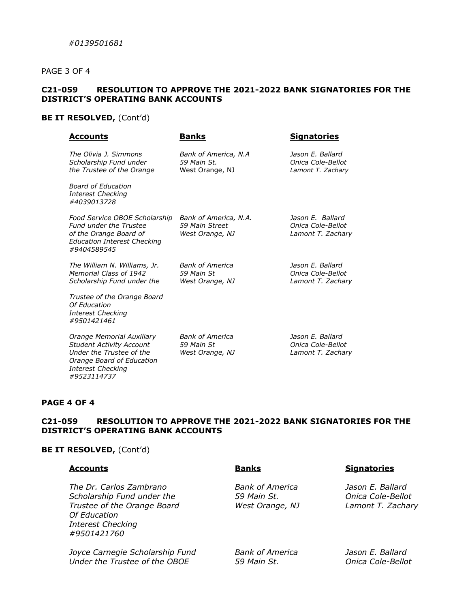PAGE 3 OF 4

# **C21-059 RESOLUTION TO APPROVE THE 2021-2022 BANK SIGNATORIES FOR THE DISTRICT'S OPERATING BANK ACCOUNTS**

### **BE IT RESOLVED, (Cont'd)**

| <b>Accounts</b>                                                                                                                                                  | <u>Banks</u>                                               | <b>Signatories</b>                                         |
|------------------------------------------------------------------------------------------------------------------------------------------------------------------|------------------------------------------------------------|------------------------------------------------------------|
| The Olivia J. Simmons<br>Scholarship Fund under<br>the Trustee of the Orange                                                                                     | Bank of America, N.A.<br>59 Main St.<br>West Orange, NJ    | Jason E. Ballard<br>Onica Cole-Bellot<br>Lamont T. Zachary |
| <b>Board of Education</b><br><b>Interest Checking</b><br>#4039013728                                                                                             |                                                            |                                                            |
| Food Service OBOE Scholarship<br><b>Fund under the Trustee</b><br>of the Orange Board of<br><b>Education Interest Checking</b><br>#9404589545                    | Bank of America, N.A.<br>59 Main Street<br>West Orange, NJ | Jason E. Ballard<br>Onica Cole-Bellot<br>Lamont T. Zachary |
| The William N. Williams, Jr.<br>Memorial Class of 1942<br>Scholarship Fund under the                                                                             | <b>Bank of America</b><br>59 Main St<br>West Orange, NJ    | Jason E. Ballard<br>Onica Cole-Bellot<br>Lamont T. Zachary |
| Trustee of the Orange Board<br>Of Education<br><b>Interest Checking</b><br>#9501421461                                                                           |                                                            |                                                            |
| Orange Memorial Auxiliary<br><b>Student Activity Account</b><br>Under the Trustee of the<br>Orange Board of Education<br><b>Interest Checking</b><br>#9523114737 | <b>Bank of America</b><br>59 Main St<br>West Orange, NJ    | Jason E. Ballard<br>Onica Cole-Bellot<br>Lamont T. Zachary |

#### **PAGE 4 OF 4**

### **C21-059 RESOLUTION TO APPROVE THE 2021-2022 BANK SIGNATORIES FOR THE DISTRICT'S OPERATING BANK ACCOUNTS**

### **BE IT RESOLVED,** (Cont'd)

| <b>Accounts</b>                                                                                                                                 | <b>Banks</b>                                             | <b>Signatories</b>                                         |
|-------------------------------------------------------------------------------------------------------------------------------------------------|----------------------------------------------------------|------------------------------------------------------------|
| The Dr. Carlos Zambrano<br>Scholarship Fund under the<br>Trustee of the Orange Board<br>Of Education<br><b>Interest Checking</b><br>#9501421760 | <b>Bank of America</b><br>59 Main St.<br>West Orange, NJ | Jason E. Ballard<br>Onica Cole-Bellot<br>Lamont T. Zachary |
| Joyce Carnegie Scholarship Fund<br>Under the Trustee of the OBOE                                                                                | <b>Bank of America</b><br>59 Main St.                    | Jason E. Ballard<br>Onica Cole-Bellot                      |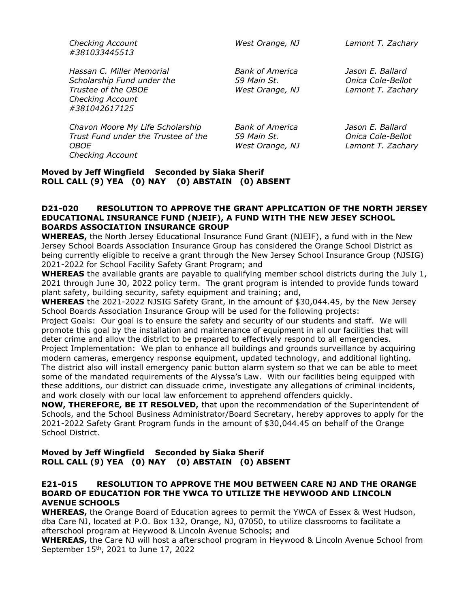| <b>Checking Account</b><br>#381033445513 | West Orange, NJ | Lamont T. Zachary |
|------------------------------------------|-----------------|-------------------|
| Hassan C. Miller Memorial                | Bank of America | Jason E. Ballard  |

*Scholarship Fund under the 59 Main St. Onica Cole-Bellot Trustee of the OBOE West Orange, NJ Lamont T. Zachary Checking Account #381042617125*

*Chavon Moore My Life Scholarship Bank of America Jason E. Ballard Trust Fund under the Trustee of the 59 Main St. Onica Cole-Bellot OBOE West Orange, NJ Lamont T. Zachary Checking Account*

# **Moved by Jeff Wingfield Seconded by Siaka Sherif ROLL CALL (9) YEA (0) NAY (0) ABSTAIN (0) ABSENT**

### **D21-020 RESOLUTION TO APPROVE THE GRANT APPLICATION OF THE NORTH JERSEY EDUCATIONAL INSURANCE FUND (NJEIF), A FUND WITH THE NEW JESEY SCHOOL BOARDS ASSOCIATION INSURANCE GROUP**

**WHEREAS,** the North Jersey Educational Insurance Fund Grant (NJEIF), a fund with in the New Jersey School Boards Association Insurance Group has considered the Orange School District as being currently eligible to receive a grant through the New Jersey School Insurance Group (NJSIG) 2021-2022 for School Facility Safety Grant Program; and

**WHEREAS** the available grants are payable to qualifying member school districts during the July 1, 2021 through June 30, 2022 policy term. The grant program is intended to provide funds toward plant safety, building security, safety equipment and training; and,

**WHEREAS** the 2021-2022 NJSIG Safety Grant, in the amount of \$30,044.45, by the New Jersey School Boards Association Insurance Group will be used for the following projects:

Project Goals: Our goal is to ensure the safety and security of our students and staff. We will promote this goal by the installation and maintenance of equipment in all our facilities that will deter crime and allow the district to be prepared to effectively respond to all emergencies. Project Implementation: We plan to enhance all buildings and grounds surveillance by acquiring modern cameras, emergency response equipment, updated technology, and additional lighting. The district also will install emergency panic button alarm system so that we can be able to meet some of the mandated requirements of the Alyssa's Law. With our facilities being equipped with these additions, our district can dissuade crime, investigate any allegations of criminal incidents, and work closely with our local law enforcement to apprehend offenders quickly.

**NOW, THEREFORE, BE IT RESOLVED,** that upon the recommendation of the Superintendent of Schools, and the School Business Administrator/Board Secretary, hereby approves to apply for the 2021-2022 Safety Grant Program funds in the amount of \$30,044.45 on behalf of the Orange School District.

# **Moved by Jeff Wingfield Seconded by Siaka Sherif ROLL CALL (9) YEA (0) NAY (0) ABSTAIN (0) ABSENT**

#### **E21-015 RESOLUTION TO APPROVE THE MOU BETWEEN CARE NJ AND THE ORANGE BOARD OF EDUCATION FOR THE YWCA TO UTILIZE THE HEYWOOD AND LINCOLN AVENUE SCHOOLS**

**WHEREAS,** the Orange Board of Education agrees to permit the YWCA of Essex & West Hudson, dba Care NJ, located at P.O. Box 132, Orange, NJ, 07050, to utilize classrooms to facilitate a afterschool program at Heywood & Lincoln Avenue Schools; and

**WHEREAS,** the Care NJ will host a afterschool program in Heywood & Lincoln Avenue School from September 15th, 2021 to June 17, 2022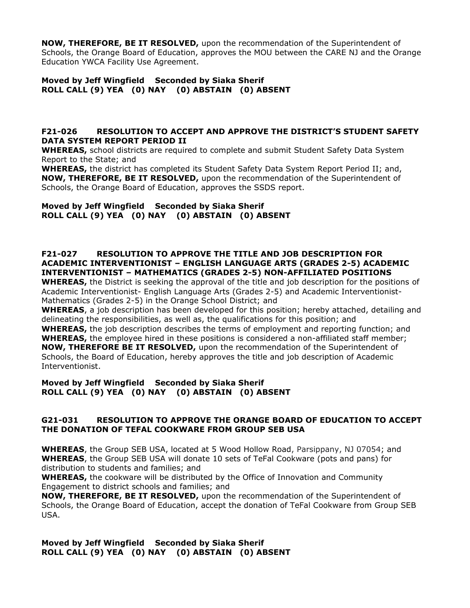**NOW, THEREFORE, BE IT RESOLVED,** upon the recommendation of the Superintendent of Schools, the Orange Board of Education, approves the MOU between the CARE NJ and the Orange Education YWCA Facility Use Agreement.

### **Moved by Jeff Wingfield Seconded by Siaka Sherif ROLL CALL (9) YEA (0) NAY (0) ABSTAIN (0) ABSENT**

### **F21-026 RESOLUTION TO ACCEPT AND APPROVE THE DISTRICT'S STUDENT SAFETY DATA SYSTEM REPORT PERIOD II**

**WHEREAS,** school districts are required to complete and submit Student Safety Data System Report to the State; and

**WHEREAS,** the district has completed its Student Safety Data System Report Period II; and, **NOW, THEREFORE, BE IT RESOLVED,** upon the recommendation of the Superintendent of Schools, the Orange Board of Education, approves the SSDS report.

### **Moved by Jeff Wingfield Seconded by Siaka Sherif ROLL CALL (9) YEA (0) NAY (0) ABSTAIN (0) ABSENT**

# **F21-027 RESOLUTION TO APPROVE THE TITLE AND JOB DESCRIPTION FOR ACADEMIC INTERVENTIONIST – ENGLISH LANGUAGE ARTS (GRADES 2-5) ACADEMIC INTERVENTIONIST – MATHEMATICS (GRADES 2-5) NON-AFFILIATED POSITIONS**

**WHEREAS,** the District is seeking the approval of the title and job description for the positions of Academic Interventionist- English Language Arts (Grades 2-5) and Academic Interventionist-Mathematics (Grades 2-5) in the Orange School District; and

**WHEREAS**, a job description has been developed for this position; hereby attached, detailing and delineating the responsibilities, as well as, the qualifications for this position; and **WHEREAS,** the job description describes the terms of employment and reporting function; and **WHEREAS,** the employee hired in these positions is considered a non-affiliated staff member; **NOW, THEREFORE BE IT RESOLVED,** upon the recommendation of the Superintendent of Schools, the Board of Education, hereby approves the title and job description of Academic

Interventionist.

### **Moved by Jeff Wingfield Seconded by Siaka Sherif ROLL CALL (9) YEA (0) NAY (0) ABSTAIN (0) ABSENT**

# **G21-031 RESOLUTION TO APPROVE THE ORANGE BOARD OF EDUCATION TO ACCEPT THE DONATION OF TEFAL COOKWARE FROM GROUP SEB USA**

**WHEREAS**, the Group SEB USA, located at 5 Wood Hollow Road, Parsippany, NJ 07054; and **WHEREAS**, the Group SEB USA will donate 10 sets of TeFal Cookware (pots and pans) for distribution to students and families; and

**WHEREAS,** the cookware will be distributed by the Office of Innovation and Community Engagement to district schools and families; and

**NOW, THEREFORE, BE IT RESOLVED,** upon the recommendation of the Superintendent of Schools, the Orange Board of Education, accept the donation of TeFal Cookware from Group SEB USA.